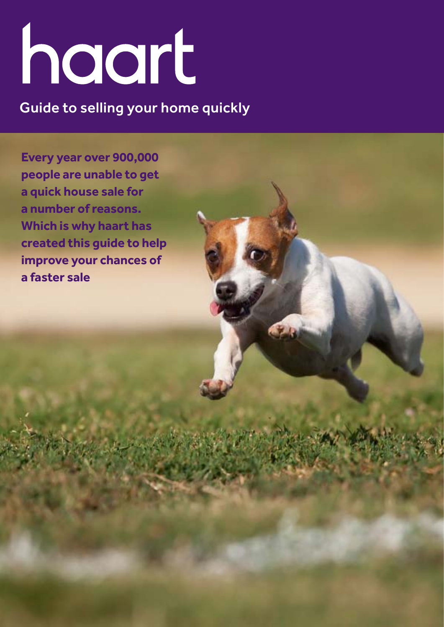# haart

Guide to selling your home quickly

**Every year over 900,000 people are unable to get a quick house sale for a number of reasons. Which is why haart has created this guide to help improve your chances of a faster sale**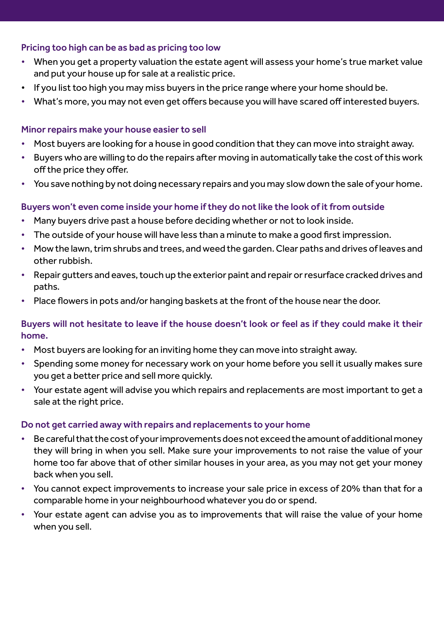# Pricing too high can be as bad as pricing too low

- When you get a property valuation the estate agent will assess your home's true market value and put your house up for sale at a realistic price.
- If you list too high you may miss buyers in the price range where your home should be.
- What's more, you may not even get offers because you will have scared off interested buyers.

## Minor repairs make your house easier to sell

- Most buyers are looking for a house in good condition that they can move into straight away.
- Buyers who are willing to do the repairs after moving in automatically take the cost of this work off the price they offer.
- You save nothing by not doing necessary repairs and you may slow down the sale of your home.

# Buyers won't even come inside your home if they do not like the look of it from outside

- Many buyers drive past a house before deciding whether or not to look inside.
- The outside of your house will have less than a minute to make a good first impression.
- Mow the lawn, trim shrubs and trees, and weed the garden. Clear paths and drives of leaves and other rubbish.
- Repair gutters and eaves, touch up the exterior paint and repair or resurface cracked drives and paths.
- Place flowers in pots and/or hanging baskets at the front of the house near the door.

# Buyers will not hesitate to leave if the house doesn't look or feel as if they could make it their home.

- Most buyers are looking for an inviting home they can move into straight away.
- Spending some money for necessary work on your home before you sell it usually makes sure you get a better price and sell more quickly.
- Your estate agent will advise you which repairs and replacements are most important to get a sale at the right price.

## Do not get carried away with repairs and replacements to your home

- Be careful that the cost of your improvements does not exceed the amount of additional money they will bring in when you sell. Make sure your improvements to not raise the value of your home too far above that of other similar houses in your area, as you may not get your money back when you sell.
- You cannot expect improvements to increase your sale price in excess of 20% than that for a comparable home in your neighbourhood whatever you do or spend.
- Your estate agent can advise you as to improvements that will raise the value of your home when you sell.